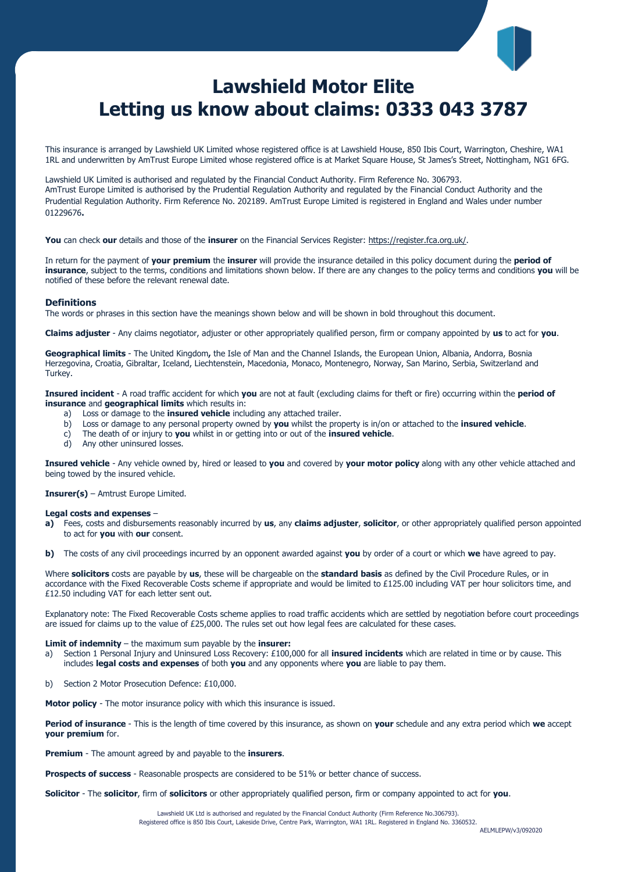# **Lawshield Motor Elite Letting us know about claims: 0333 043 3787**

This insurance is arranged by Lawshield UK Limited whose registered office is at Lawshield House, 850 Ibis Court, Warrington, Cheshire, WA1 1RL and underwritten by AmTrust Europe Limited whose registered office is at Market Square House, St James's Street, Nottingham, NG1 6FG.

Lawshield UK Limited is authorised and regulated by the Financial Conduct Authority. Firm Reference No. 306793. AmTrust Europe Limited is authorised by the Prudential Regulation Authority and regulated by the Financial Conduct Authority and the Prudential Regulation Authority. Firm Reference No. 202189. AmTrust Europe Limited is registered in England and Wales under number 01229676**.**

**You** can check **our** details and those of the **insurer** on the Financial Services Register[: https://register.fca.org.uk/.](https://register.fca.org.uk/)

In return for the payment of **your premium** the **insurer** will provide the insurance detailed in this policy document during the **period of insurance**, subject to the terms, conditions and limitations shown below. If there are any changes to the policy terms and conditions **you** will be notified of these before the relevant renewal date.

#### **Definitions**

The words or phrases in this section have the meanings shown below and will be shown in bold throughout this document.

**Claims adjuster** - Any claims negotiator, adjuster or other appropriately qualified person, firm or company appointed by **us** to act for **you**.

**Geographical limits** - The United Kingdom**,** the Isle of Man and the Channel Islands, the European Union, Albania, Andorra, Bosnia Herzegovina, Croatia, Gibraltar, Iceland, Liechtenstein, Macedonia, Monaco, Montenegro, Norway, San Marino, Serbia, Switzerland and Turkey.

**Insured incident** - A road traffic accident for which **you** are not at fault (excluding claims for theft or fire) occurring within the **period of insurance** and **geographical limits** which results in:

- a) Loss or damage to the **insured vehicle** including any attached trailer.
- b) Loss or damage to any personal property owned by **you** whilst the property is in/on or attached to the **insured vehicle**.
- c) The death of or injury to **you** whilst in or getting into or out of the **insured vehicle**.
- d) Any other uninsured losses.

**Insured vehicle** - Any vehicle owned by, hired or leased to **you** and covered by **your motor policy** along with any other vehicle attached and being towed by the insured vehicle.

**Insurer(s)** – Amtrust Europe Limited.

#### **Legal costs and expenses** –

**a)** Fees, costs and disbursements reasonably incurred by **us**, any **claims adjuster**, **solicitor**, or other appropriately qualified person appointed to act for **you** with **our** consent.

**b)** The costs of any civil proceedings incurred by an opponent awarded against **you** by order of a court or which **we** have agreed to pay.

Where **solicitors** costs are payable by **us**, these will be chargeable on the **standard basis** as defined by the Civil Procedure Rules, or in accordance with the Fixed Recoverable Costs scheme if appropriate and would be limited to £125.00 including VAT per hour solicitors time, and £12.50 including VAT for each letter sent out.

Explanatory note: The Fixed Recoverable Costs scheme applies to road traffic accidents which are settled by negotiation before court proceedings are issued for claims up to the value of £25,000. The rules set out how legal fees are calculated for these cases.

#### **Limit of indemnity** – the maximum sum payable by the **insurer:**

- a) Section 1 Personal Injury and Uninsured Loss Recovery: £100,000 for all **insured incidents** which are related in time or by cause. This includes **legal costs and expenses** of both **you** and any opponents where **you** are liable to pay them.
- b) Section 2 Motor Prosecution Defence: £10,000.

**Motor policy** - The motor insurance policy with which this insurance is issued.

**Period of insurance** - This is the length of time covered by this insurance, as shown on **your** schedule and any extra period which **we** accept **your premium** for.

**Premium** - The amount agreed by and payable to the **insurers**.

**Prospects of success** - Reasonable prospects are considered to be 51% or better chance of success.

**Solicitor** - The **solicitor**, firm of **solicitors** or other appropriately qualified person, firm or company appointed to act for **you**.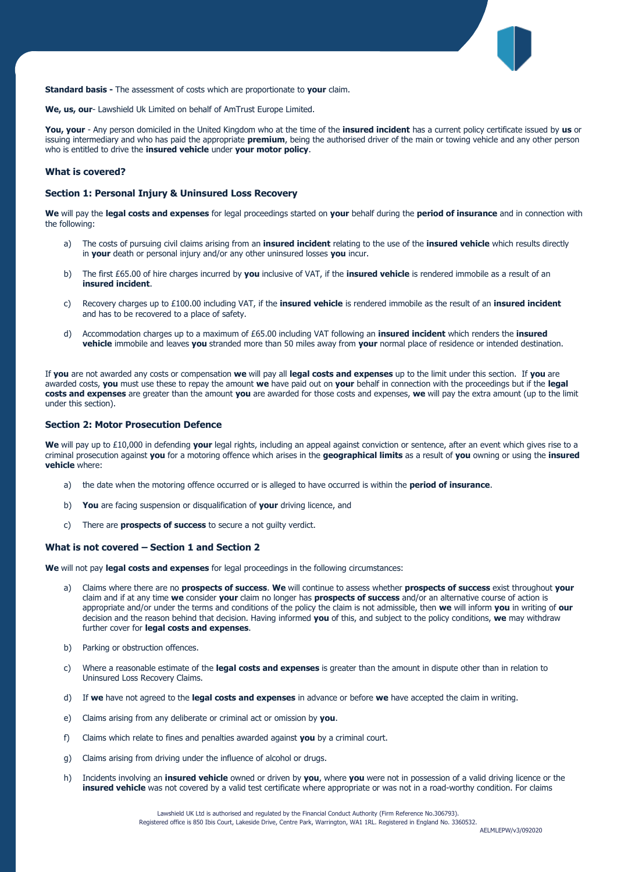

**Standard basis -** The assessment of costs which are proportionate to **your** claim.

**We, us, our**- Lawshield Uk Limited on behalf of AmTrust Europe Limited.

**You, your** - Any person domiciled in the United Kingdom who at the time of the **insured incident** has a current policy certificate issued by **us** or issuing intermediary and who has paid the appropriate **premium**, being the authorised driver of the main or towing vehicle and any other person who is entitled to drive the **insured vehicle** under **your motor policy**.

# **What is covered?**

# **Section 1: Personal Injury & Uninsured Loss Recovery**

**We** will pay the **legal costs and expenses** for legal proceedings started on **your** behalf during the **period of insurance** and in connection with the following:

- a) The costs of pursuing civil claims arising from an **insured incident** relating to the use of the **insured vehicle** which results directly in **your** death or personal injury and/or any other uninsured losses **you** incur.
- b) The first £65.00 of hire charges incurred by **you** inclusive of VAT, if the **insured vehicle** is rendered immobile as a result of an **insured incident**.
- c) Recovery charges up to £100.00 including VAT, if the **insured vehicle** is rendered immobile as the result of an **insured incident** and has to be recovered to a place of safety.
- d) Accommodation charges up to a maximum of £65.00 including VAT following an **insured incident** which renders the **insured vehicle** immobile and leaves **you** stranded more than 50 miles away from **your** normal place of residence or intended destination.

If **you** are not awarded any costs or compensation **we** will pay all **legal costs and expenses** up to the limit under this section. If **you** are awarded costs, **you** must use these to repay the amount **we** have paid out on **your** behalf in connection with the proceedings but if the **legal costs and expenses** are greater than the amount **you** are awarded for those costs and expenses, **we** will pay the extra amount (up to the limit under this section).

# **Section 2: Motor Prosecution Defence**

**We** will pay up to £10,000 in defending **your** legal rights, including an appeal against conviction or sentence, after an event which gives rise to a criminal prosecution against **you** for a motoring offence which arises in the **geographical limits** as a result of **you** owning or using the **insured vehicle** where:

- a) the date when the motoring offence occurred or is alleged to have occurred is within the **period of insurance**.
- b) **You** are facing suspension or disqualification of **your** driving licence, and
- c) There are **prospects of success** to secure a not guilty verdict.

#### **What is not covered – Section 1 and Section 2**

**We** will not pay **legal costs and expenses** for legal proceedings in the following circumstances:

- a) Claims where there are no **prospects of success**. **We** will continue to assess whether **prospects of success** exist throughout **your** claim and if at any time **we** consider **your** claim no longer has **prospects of success** and/or an alternative course of action is appropriate and/or under the terms and conditions of the policy the claim is not admissible, then **we** will inform **you** in writing of **our** decision and the reason behind that decision. Having informed **you** of this, and subject to the policy conditions, **we** may withdraw further cover for **legal costs and expenses**.
- b) Parking or obstruction offences.
- c) Where a reasonable estimate of the **legal costs and expenses** is greater than the amount in dispute other than in relation to Uninsured Loss Recovery Claims.
- d) If **we** have not agreed to the **legal costs and expenses** in advance or before **we** have accepted the claim in writing.
- e) Claims arising from any deliberate or criminal act or omission by **you**.
- f) Claims which relate to fines and penalties awarded against **you** by a criminal court.
- g) Claims arising from driving under the influence of alcohol or drugs.
- h) Incidents involving an **insured vehicle** owned or driven by **you**, where **you** were not in possession of a valid driving licence or the **insured vehicle** was not covered by a valid test certificate where appropriate or was not in a road-worthy condition. For claims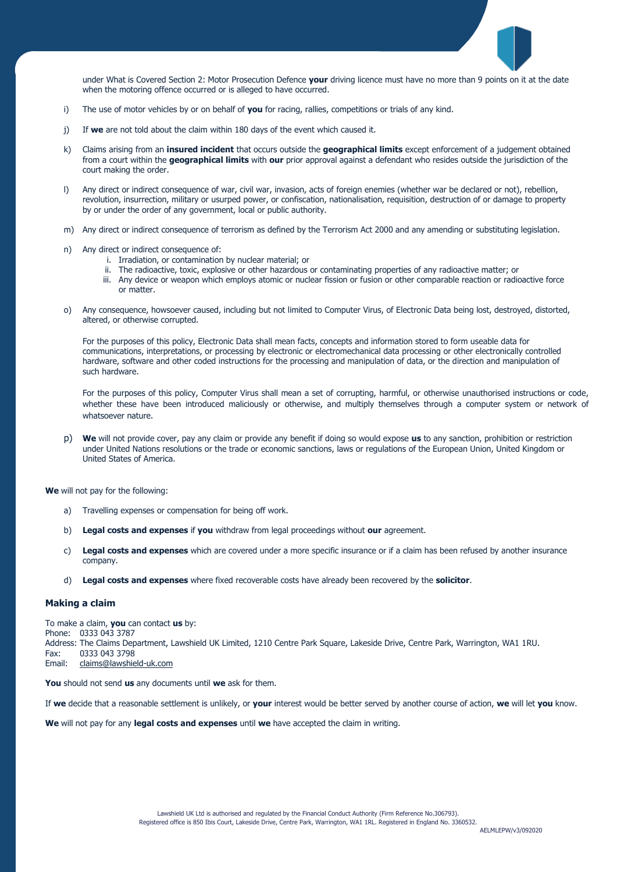

under What is Covered Section 2: Motor Prosecution Defence **your** driving licence must have no more than 9 points on it at the date when the motoring offence occurred or is alleged to have occurred.

- i) The use of motor vehicles by or on behalf of **you** for racing, rallies, competitions or trials of any kind.
- j) If **we** are not told about the claim within 180 days of the event which caused it.
- k) Claims arising from an **insured incident** that occurs outside the **geographical limits** except enforcement of a judgement obtained from a court within the **geographical limits** with **our** prior approval against a defendant who resides outside the jurisdiction of the court making the order.
- l) Any direct or indirect consequence of war, civil war, invasion, acts of foreign enemies (whether war be declared or not), rebellion, revolution, insurrection, military or usurped power, or confiscation, nationalisation, requisition, destruction of or damage to property by or under the order of any government, local or public authority.
- m) Any direct or indirect consequence of terrorism as defined by the Terrorism Act 2000 and any amending or substituting legislation.
- n) Any direct or indirect consequence of:
	- i. Irradiation, or contamination by nuclear material; or
	- ii. The radioactive, toxic, explosive or other hazardous or contaminating properties of any radioactive matter; or
	- iii. Any device or weapon which employs atomic or nuclear fission or fusion or other comparable reaction or radioactive force or matter.
- o) Any consequence, howsoever caused, including but not limited to Computer Virus, of Electronic Data being lost, destroyed, distorted, altered, or otherwise corrupted.

For the purposes of this policy, Electronic Data shall mean facts, concepts and information stored to form useable data for communications, interpretations, or processing by electronic or electromechanical data processing or other electronically controlled hardware, software and other coded instructions for the processing and manipulation of data, or the direction and manipulation of such hardware.

For the purposes of this policy, Computer Virus shall mean a set of corrupting, harmful, or otherwise unauthorised instructions or code, whether these have been introduced maliciously or otherwise, and multiply themselves through a computer system or network of whatsoever nature.

p) **We** will not provide cover, pay any claim or provide any benefit if doing so would expose **us** to any sanction, prohibition or restriction under United Nations resolutions or the trade or economic sanctions, laws or regulations of the European Union, United Kingdom or United States of America.

**We** will not pay for the following:

- a) Travelling expenses or compensation for being off work.
- b) **Legal costs and expenses** if **you** withdraw from legal proceedings without **our** agreement.
- c) **Legal costs and expenses** which are covered under a more specific insurance or if a claim has been refused by another insurance company.
- d) **Legal costs and expenses** where fixed recoverable costs have already been recovered by the **solicitor**.

#### **Making a claim**

To make a claim, **you** can contact **us** by: Phone: 0333 043 3787 Address: The Claims Department, Lawshield UK Limited, 1210 Centre Park Square, Lakeside Drive, Centre Park, Warrington, WA1 1RU. Fax: 0333 043 3798<br>Fmail: claims@lawshie [claims@lawshield-uk.com](mailto:claims@lawshield-uk.com)

**You** should not send **us** any documents until **we** ask for them.

If **we** decide that a reasonable settlement is unlikely, or **your** interest would be better served by another course of action, **we** will let **you** know.

**We** will not pay for any **legal costs and expenses** until **we** have accepted the claim in writing.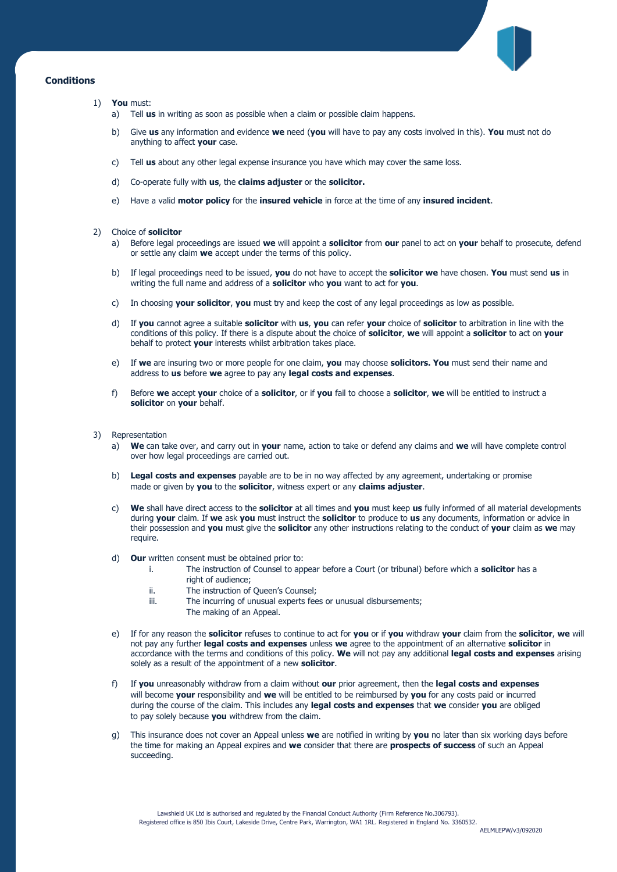

# **Conditions**

- 1) **You** must:
	- a) Tell **us** in writing as soon as possible when a claim or possible claim happens.
	- b) Give **us** any information and evidence **we** need (**you** will have to pay any costs involved in this). **You** must not do anything to affect **your** case.
	- c) Tell **us** about any other legal expense insurance you have which may cover the same loss.
	- d) Co-operate fully with **us**, the **claims adjuster** or the **solicitor.**
	- e) Have a valid **motor policy** for the **insured vehicle** in force at the time of any **insured incident**.

## 2) Choice of **solicitor**

- a) Before legal proceedings are issued **we** will appoint a **solicitor** from **our** panel to act on **your** behalf to prosecute, defend or settle any claim **we** accept under the terms of this policy.
- b) If legal proceedings need to be issued, **you** do not have to accept the **solicitor we** have chosen. **You** must send **us** in writing the full name and address of a **solicitor** who **you** want to act for **you**.
- c) In choosing **your solicitor**, **you** must try and keep the cost of any legal proceedings as low as possible.
- d) If **you** cannot agree a suitable **solicitor** with **us**, **you** can refer **your** choice of **solicitor** to arbitration in line with the conditions of this policy. If there is a dispute about the choice of **solicitor**, **we** will appoint a **solicitor** to act on **your**  behalf to protect **your** interests whilst arbitration takes place.
- e) If **we** are insuring two or more people for one claim, **you** may choose **solicitors. You** must send their name and address to **us** before **we** agree to pay any **legal costs and expenses**.
- f) Before **we** accept **your** choice of a **solicitor**, or if **you** fail to choose a **solicitor**, **we** will be entitled to instruct a **solicitor** on **your** behalf.
- 3) Representation
	- a) **We** can take over, and carry out in **your** name, action to take or defend any claims and **we** will have complete control over how legal proceedings are carried out.
	- b) **Legal costs and expenses** payable are to be in no way affected by any agreement, undertaking or promise made or given by **you** to the **solicitor**, witness expert or any **claims adjuster**.
	- c) **We** shall have direct access to the **solicitor** at all times and **you** must keep **us** fully informed of all material developments during **your** claim. If **we** ask **you** must instruct the **solicitor** to produce to **us** any documents, information or advice in their possession and **you** must give the **solicitor** any other instructions relating to the conduct of **your** claim as **we** may require.
	- d) **Our** written consent must be obtained prior to:
		- i. The instruction of Counsel to appear before a Court (or tribunal) before which a **solicitor** has a right of audience;
		- ii. The instruction of Queen's Counsel;
		- iii. The incurring of unusual experts fees or unusual disbursements;
			- The making of an Appeal.
	- e) If for any reason the **solicitor** refuses to continue to act for **you** or if **you** withdraw **your** claim from the **solicitor**, **we** will not pay any further **legal costs and expenses** unless **we** agree to the appointment of an alternative **solicitor** in accordance with the terms and conditions of this policy. **We** will not pay any additional **legal costs and expenses** arising solely as a result of the appointment of a new **solicitor**.
	- f) If **you** unreasonably withdraw from a claim without **our** prior agreement, then the **legal costs and expenses** will become **your** responsibility and **we** will be entitled to be reimbursed by **you** for any costs paid or incurred during the course of the claim. This includes any **legal costs and expenses** that **we** consider **you** are obliged to pay solely because **you** withdrew from the claim.
	- g) This insurance does not cover an Appeal unless **we** are notified in writing by **you** no later than six working days before the time for making an Appeal expires and **we** consider that there are **prospects of success** of such an Appeal succeeding.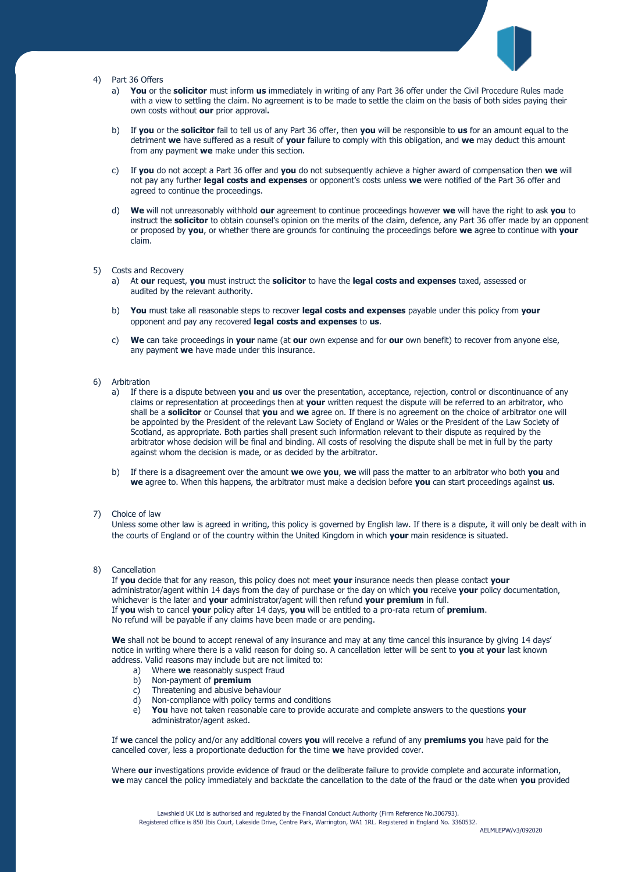

### 4) Part 36 Offers

- a) **You** or the **solicitor** must inform **us** immediately in writing of any Part 36 offer under the Civil Procedure Rules made with a view to settling the claim. No agreement is to be made to settle the claim on the basis of both sides paying their own costs without **our** prior approval**.**
- b) If **you** or the **solicitor** fail to tell us of any Part 36 offer, then **you** will be responsible to **us** for an amount equal to the detriment **we** have suffered as a result of **your** failure to comply with this obligation, and **we** may deduct this amount from any payment **we** make under this section.
- c) If **you** do not accept a Part 36 offer and **you** do not subsequently achieve a higher award of compensation then **we** will not pay any further **legal costs and expenses** or opponent's costs unless **we** were notified of the Part 36 offer and agreed to continue the proceedings.
- d) **We** will not unreasonably withhold **our** agreement to continue proceedings however **we** will have the right to ask **you** to instruct the **solicitor** to obtain counsel's opinion on the merits of the claim, defence, any Part 36 offer made by an opponent or proposed by **you**, or whether there are grounds for continuing the proceedings before **we** agree to continue with **your** claim.

## 5) Costs and Recovery

- a) At **our** request, **you** must instruct the **solicitor** to have the **legal costs and expenses** taxed, assessed or audited by the relevant authority.
- b) **You** must take all reasonable steps to recover **legal costs and expenses** payable under this policy from **your** opponent and pay any recovered **legal costs and expenses** to **us**.
- c) **We** can take proceedings in **your** name (at **our** own expense and for **our** own benefit) to recover from anyone else, any payment **we** have made under this insurance.

### 6) Arbitration

- a) If there is a dispute between **you** and **us** over the presentation, acceptance, rejection, control or discontinuance of any claims or representation at proceedings then at **your** written request the dispute will be referred to an arbitrator, who shall be a **solicitor** or Counsel that **you** and **we** agree on. If there is no agreement on the choice of arbitrator one will be appointed by the President of the relevant Law Society of England or Wales or the President of the Law Society of Scotland, as appropriate. Both parties shall present such information relevant to their dispute as required by the arbitrator whose decision will be final and binding. All costs of resolving the dispute shall be met in full by the party against whom the decision is made, or as decided by the arbitrator.
- b) If there is a disagreement over the amount **we** owe **you**, **we** will pass the matter to an arbitrator who both **you** and **we** agree to. When this happens, the arbitrator must make a decision before **you** can start proceedings against **us**.

## 7) Choice of law

Unless some other law is agreed in writing, this policy is governed by English law. If there is a dispute, it will only be dealt with in the courts of England or of the country within the United Kingdom in which **your** main residence is situated.

#### 8) Cancellation

If **you** decide that for any reason, this policy does not meet **your** insurance needs then please contact **your** administrator/agent within 14 days from the day of purchase or the day on which **you** receive **your** policy documentation, whichever is the later and **your** administrator/agent will then refund **your premium** in full. If **you** wish to cancel **your** policy after 14 days, **you** will be entitled to a pro-rata return of **premium**. No refund will be payable if any claims have been made or are pending.

**We** shall not be bound to accept renewal of any insurance and may at any time cancel this insurance by giving 14 days' notice in writing where there is a valid reason for doing so. A cancellation letter will be sent to **you** at **your** last known address. Valid reasons may include but are not limited to:

- a) Where **we** reasonably suspect fraud
- b) Non-payment of **premium**
- c) Threatening and abusive behaviour
- d) Non-compliance with policy terms and conditions
- e) **You** have not taken reasonable care to provide accurate and complete answers to the questions **your**  administrator/agent asked.

If **we** cancel the policy and/or any additional covers **you** will receive a refund of any **premiums you** have paid for the cancelled cover, less a proportionate deduction for the time **we** have provided cover.

Where **our** investigations provide evidence of fraud or the deliberate failure to provide complete and accurate information, **we** may cancel the policy immediately and backdate the cancellation to the date of the fraud or the date when **you** provided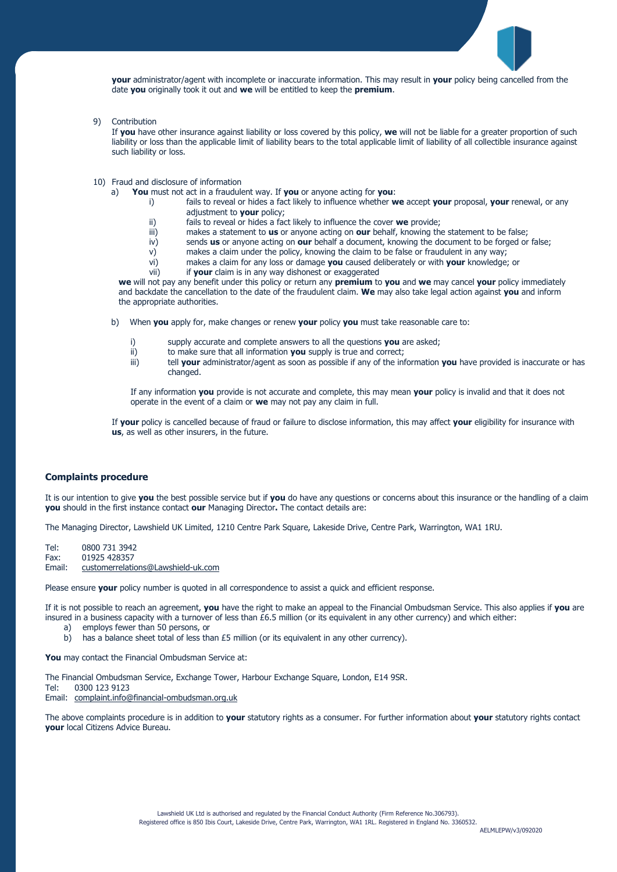

**your** administrator/agent with incomplete or inaccurate information. This may result in **your** policy being cancelled from the date **you** originally took it out and **we** will be entitled to keep the **premium**.

9) Contribution

If **you** have other insurance against liability or loss covered by this policy, **we** will not be liable for a greater proportion of such liability or loss than the applicable limit of liability bears to the total applicable limit of liability of all collectible insurance against such liability or loss.

- 10) Fraud and disclosure of information
	- a) **You** must not act in a fraudulent way. If **you** or anyone acting for **you**:
		- i) fails to reveal or hides a fact likely to influence whether **we** accept **your** proposal, **your** renewal, or any adjustment to **your** policy;
		- ii) fails to reveal or hides a fact likely to influence the cover **we** provide;
		- iii) makes a statement to **us** or anyone acting on **our** behalf, knowing the statement to be false;
		- iv) sends **us** or anyone acting on **our** behalf a document, knowing the document to be forged or false;
		- v) makes a claim under the policy, knowing the claim to be false or fraudulent in any way;
		- vi) makes a claim for any loss or damage **you** caused deliberately or with **your** knowledge; or
		- vii) if **your** claim is in any way dishonest or exaggerated

**we** will not pay any benefit under this policy or return any **premium** to **you** and **we** may cancel **your** policy immediately and backdate the cancellation to the date of the fraudulent claim. **We** may also take legal action against **you** and inform the appropriate authorities.

b) When **you** apply for, make changes or renew **your** policy **you** must take reasonable care to:

- supply accurate and complete answers to all the questions you are asked;
- ii) to make sure that all information **you** supply is true and correct;
- iii) tell **your** administrator/agent as soon as possible if any of the information **you** have provided is inaccurate or has changed.

If any information **you** provide is not accurate and complete, this may mean **your** policy is invalid and that it does not operate in the event of a claim or **we** may not pay any claim in full.

If **your** policy is cancelled because of fraud or failure to disclose information, this may affect **your** eligibility for insurance with **us**, as well as other insurers, in the future.

#### **Complaints procedure**

It is our intention to give **you** the best possible service but if **you** do have any questions or concerns about this insurance or the handling of a claim **you** should in the first instance contact **our** Managing Director**.** The contact details are:

The Managing Director, Lawshield UK Limited, 1210 Centre Park Square, Lakeside Drive, Centre Park, Warrington, WA1 1RU.

Tel: 0800 731 3942 Fax: 01925 428357 Email: [customerrelations@Lawshield-uk.com](mailto:customerrelations@lawshield-uk.com)

Please ensure **your** policy number is quoted in all correspondence to assist a quick and efficient response.

If it is not possible to reach an agreement, **you** have the right to make an appeal to the Financial Ombudsman Service. This also applies if **you** are insured in a business capacity with a turnover of less than £6.5 million (or its equivalent in any other currency) and which either:

- a) employs fewer than 50 persons, or
- b) has a balance sheet total of less than £5 million (or its equivalent in any other currency).

**You** may contact the Financial Ombudsman Service at:

The Financial Ombudsman Service, Exchange Tower, Harbour Exchange Square, London, E14 9SR. Tel: 0300 123 9123 Email: [complaint.info@financial-ombudsman.org.uk](mailto:complaint.info@financial-ombudsman.org.uk)

The above complaints procedure is in addition to **your** statutory rights as a consumer. For further information about **your** statutory rights contact **your** local Citizens Advice Bureau.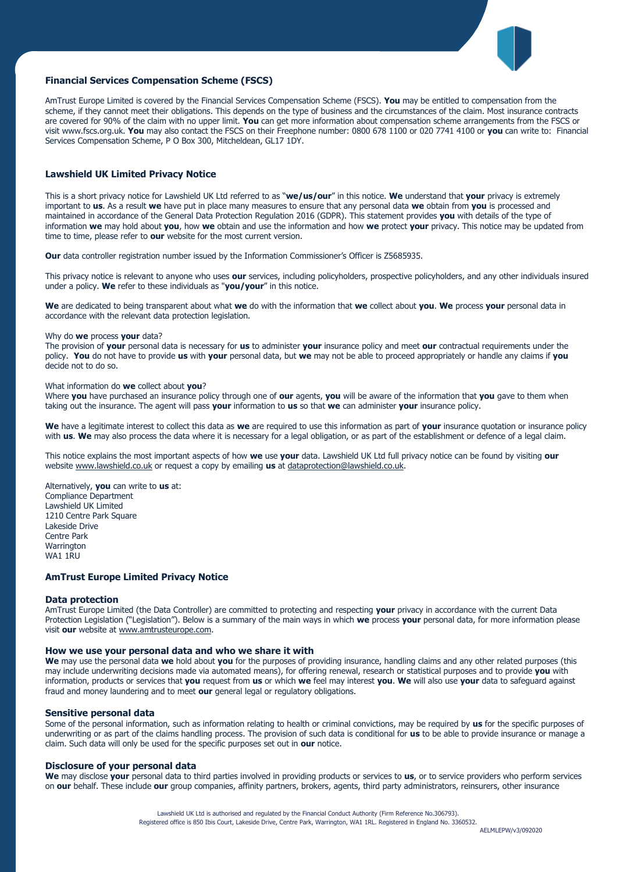

# **Financial Services Compensation Scheme (FSCS)**

AmTrust Europe Limited is covered by the Financial Services Compensation Scheme (FSCS). **You** may be entitled to compensation from the scheme, if they cannot meet their obligations. This depends on the type of business and the circumstances of the claim. Most insurance contracts are covered for 90% of the claim with no upper limit. **You** can get more information about compensation scheme arrangements from the FSCS or visit www.fscs.org.uk. **You** may also contact the FSCS on their Freephone number: 0800 678 1100 or 020 7741 4100 or **you** can write to: Financial Services Compensation Scheme, P O Box 300, Mitcheldean, GL17 1DY.

# **Lawshield UK Limited Privacy Notice**

This is a short privacy notice for Lawshield UK Ltd referred to as "**we/us/our**" in this notice. **We** understand that **your** privacy is extremely important to **us**. As a result **we** have put in place many measures to ensure that any personal data **we** obtain from **you** is processed and maintained in accordance of the General Data Protection Regulation 2016 (GDPR). This statement provides **you** with details of the type of information **we** may hold about **you**, how **we** obtain and use the information and how **we** protect **your** privacy. This notice may be updated from time to time, please refer to **our** website for the most current version.

**Our** data controller registration number issued by the Information Commissioner's Officer is Z5685935.

This privacy notice is relevant to anyone who uses **our** services, including policyholders, prospective policyholders, and any other individuals insured under a policy. **We** refer to these individuals as "**you/your**" in this notice.

**We** are dedicated to being transparent about what **we** do with the information that **we** collect about **you**. **We** process **your** personal data in accordance with the relevant data protection legislation.

#### Why do **we** process **your** data?

The provision of **your** personal data is necessary for **us** to administer **your** insurance policy and meet **our** contractual requirements under the policy. **You** do not have to provide **us** with **your** personal data, but **we** may not be able to proceed appropriately or handle any claims if **you** decide not to do so.

#### What information do **we** collect about **you**?

Where **you** have purchased an insurance policy through one of **our** agents, **you** will be aware of the information that **you** gave to them when taking out the insurance. The agent will pass **your** information to **us** so that **we** can administer **your** insurance policy.

**We** have a legitimate interest to collect this data as **we** are required to use this information as part of **your** insurance quotation or insurance policy with **us**. **We** may also process the data where it is necessary for a legal obligation, or as part of the establishment or defence of a legal claim.

This notice explains the most important aspects of how **we** use **your** data. Lawshield UK Ltd full privacy notice can be found by visiting **our** website [www.lawshield.co.uk](http://www.lawshield.co.uk/) or request a copy by emailing **us** a[t dataprotection@lawshield.co.uk.](mailto:dataprotection@lawshield.co.uk)

Alternatively, **you** can write to **us** at: Compliance Department Lawshield UK Limited 1210 Centre Park Square Lakeside Drive Centre Park **Warrington** WA1 1RU

## **AmTrust Europe Limited Privacy Notice**

#### **Data protection**

AmTrust Europe Limited (the Data Controller) are committed to protecting and respecting **your** privacy in accordance with the current Data Protection Legislation ("Legislation"). Below is a summary of the main ways in which **we** process **your** personal data, for more information please visit **our** website at [www.amtrusteurope.com.](http://www.amtrusteurope.com/)

#### **How we use your personal data and who we share it with**

**We** may use the personal data **we** hold about **you** for the purposes of providing insurance, handling claims and any other related purposes (this may include underwriting decisions made via automated means), for offering renewal, research or statistical purposes and to provide **you** with information, products or services that **you** request from **us** or which **we** feel may interest **you**. **We** will also use **your** data to safeguard against fraud and money laundering and to meet **our** general legal or regulatory obligations.

#### **Sensitive personal data**

Some of the personal information, such as information relating to health or criminal convictions, may be required by **us** for the specific purposes of underwriting or as part of the claims handling process. The provision of such data is conditional for **us** to be able to provide insurance or manage a claim. Such data will only be used for the specific purposes set out in **our** notice.

#### **Disclosure of your personal data**

**We** may disclose **your** personal data to third parties involved in providing products or services to **us**, or to service providers who perform services on **our** behalf. These include **our** group companies, affinity partners, brokers, agents, third party administrators, reinsurers, other insurance